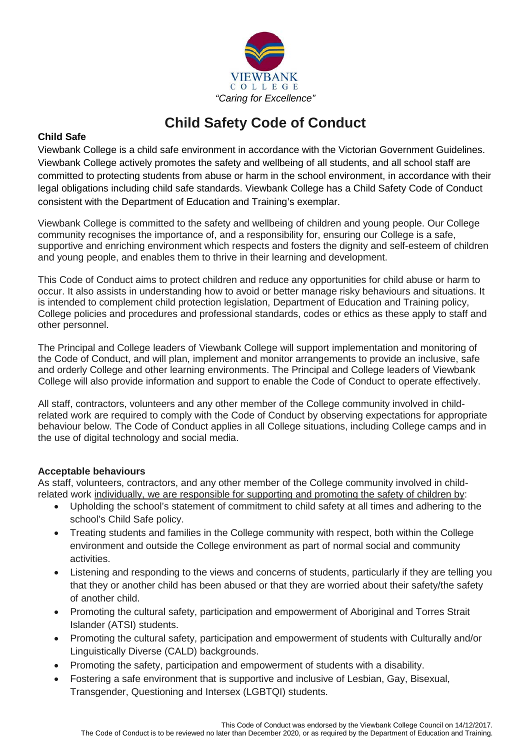

## **Child Safety Code of Conduct**

## **Child Safe**

Viewbank College is a child safe environment in accordance with the Victorian Government Guidelines. Viewbank College actively promotes the safety and wellbeing of all students, and all school staff are committed to protecting students from abuse or harm in the school environment, in accordance with their legal obligations including child safe standards. Viewbank College has a Child Safety Code of Conduct consistent with the Department of Education and Training's exemplar.

Viewbank College is committed to the safety and wellbeing of children and young people. Our College community recognises the importance of, and a responsibility for, ensuring our College is a safe, supportive and enriching environment which respects and fosters the dignity and self-esteem of children and young people, and enables them to thrive in their learning and development.

This Code of Conduct aims to protect children and reduce any opportunities for child abuse or harm to occur. It also assists in understanding how to avoid or better manage risky behaviours and situations. It is intended to complement child protection legislation, Department of Education and Training policy, College policies and procedures and professional standards, codes or ethics as these apply to staff and other personnel.

The Principal and College leaders of Viewbank College will support implementation and monitoring of the Code of Conduct, and will plan, implement and monitor arrangements to provide an inclusive, safe and orderly College and other learning environments. The Principal and College leaders of Viewbank College will also provide information and support to enable the Code of Conduct to operate effectively.

All staff, contractors, volunteers and any other member of the College community involved in childrelated work are required to comply with the Code of Conduct by observing expectations for appropriate behaviour below. The Code of Conduct applies in all College situations, including College camps and in the use of digital technology and social media.

## **Acceptable behaviours**

As staff, volunteers, contractors, and any other member of the College community involved in childrelated work individually, we are responsible for supporting and promoting the safety of children by:

- Upholding the school's statement of commitment to child safety at all times and adhering to the school's Child Safe policy.
- Treating students and families in the College community with respect, both within the College environment and outside the College environment as part of normal social and community activities.
- Listening and responding to the views and concerns of students, particularly if they are telling you that they or another child has been abused or that they are worried about their safety/the safety of another child.
- Promoting the cultural safety, participation and empowerment of Aboriginal and Torres Strait Islander (ATSI) students.
- Promoting the cultural safety, participation and empowerment of students with Culturally and/or Linguistically Diverse (CALD) backgrounds.
- Promoting the safety, participation and empowerment of students with a disability.
- Fostering a safe environment that is supportive and inclusive of Lesbian, Gay, Bisexual, Transgender, Questioning and Intersex (LGBTQI) students.